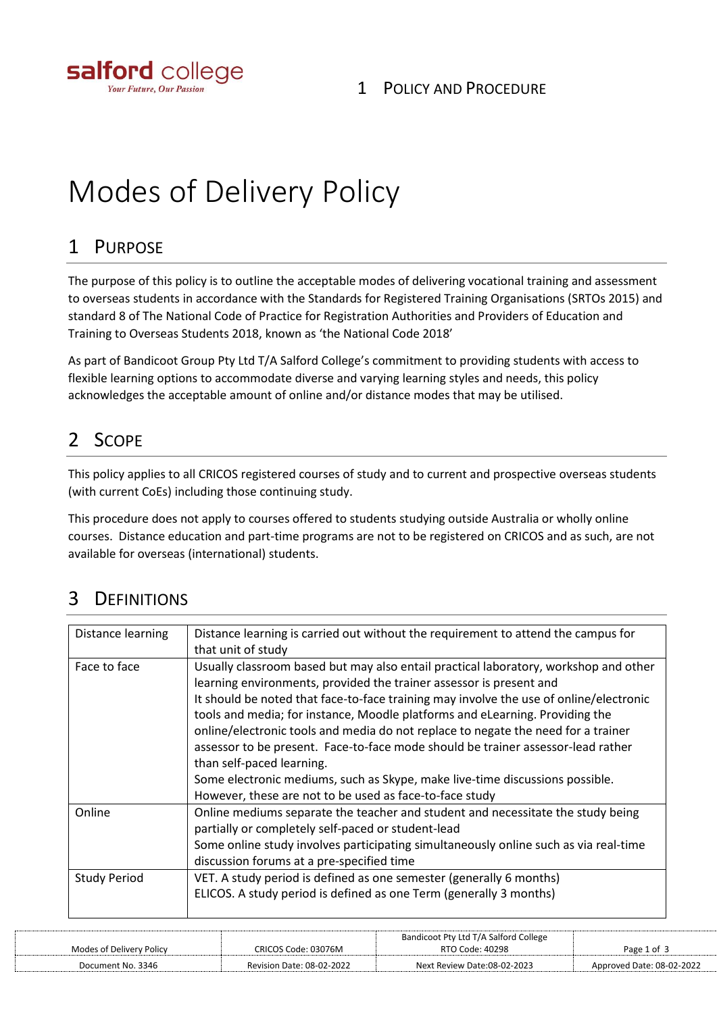

# Modes of Delivery Policy

#### 1 PURPOSE

The purpose of this policy is to outline the acceptable modes of delivering vocational training and assessment to overseas students in accordance with the Standards for Registered Training Organisations (SRTOs 2015) and standard 8 of The National Code of Practice for Registration Authorities and Providers of Education and Training to Overseas Students 2018, known as 'the National Code 2018'

As part of Bandicoot Group Pty Ltd T/A Salford College's commitment to providing students with access to flexible learning options to accommodate diverse and varying learning styles and needs, this policy acknowledges the acceptable amount of online and/or distance modes that may be utilised.

# 2 SCOPE

This policy applies to all CRICOS registered courses of study and to current and prospective overseas students (with current CoEs) including those continuing study.

This procedure does not apply to courses offered to students studying outside Australia or wholly online courses. Distance education and part-time programs are not to be registered on CRICOS and as such, are not available for overseas (international) students.

## 3 DEFINITIONS

| Distance learning   | Distance learning is carried out without the requirement to attend the campus for      |
|---------------------|----------------------------------------------------------------------------------------|
|                     | that unit of study                                                                     |
| Face to face        | Usually classroom based but may also entail practical laboratory, workshop and other   |
|                     | learning environments, provided the trainer assessor is present and                    |
|                     | It should be noted that face-to-face training may involve the use of online/electronic |
|                     | tools and media; for instance, Moodle platforms and eLearning. Providing the           |
|                     | online/electronic tools and media do not replace to negate the need for a trainer      |
|                     | assessor to be present. Face-to-face mode should be trainer assessor-lead rather       |
|                     | than self-paced learning.                                                              |
|                     | Some electronic mediums, such as Skype, make live-time discussions possible.           |
|                     | However, these are not to be used as face-to-face study                                |
| Online              | Online mediums separate the teacher and student and necessitate the study being        |
|                     | partially or completely self-paced or student-lead                                     |
|                     | Some online study involves participating simultaneously online such as via real-time   |
|                     | discussion forums at a pre-specified time                                              |
| <b>Study Period</b> | VET. A study period is defined as one semester (generally 6 months)                    |
|                     | ELICOS. A study period is defined as one Term (generally 3 months)                     |
|                     |                                                                                        |
|                     |                                                                                        |

|                          |                           | Bandicoot Pty Ltd T/A Salford College |                           |
|--------------------------|---------------------------|---------------------------------------|---------------------------|
| Modes of Delivery Policy | CRICOS Code: 03076M       | RTO Code: 40298                       | Page 1 of 3               |
| Document No. 3346        | Revision Date: 08-02-2022 | Next Review Date:08-02-2023           | Approved Date: 08-02-2022 |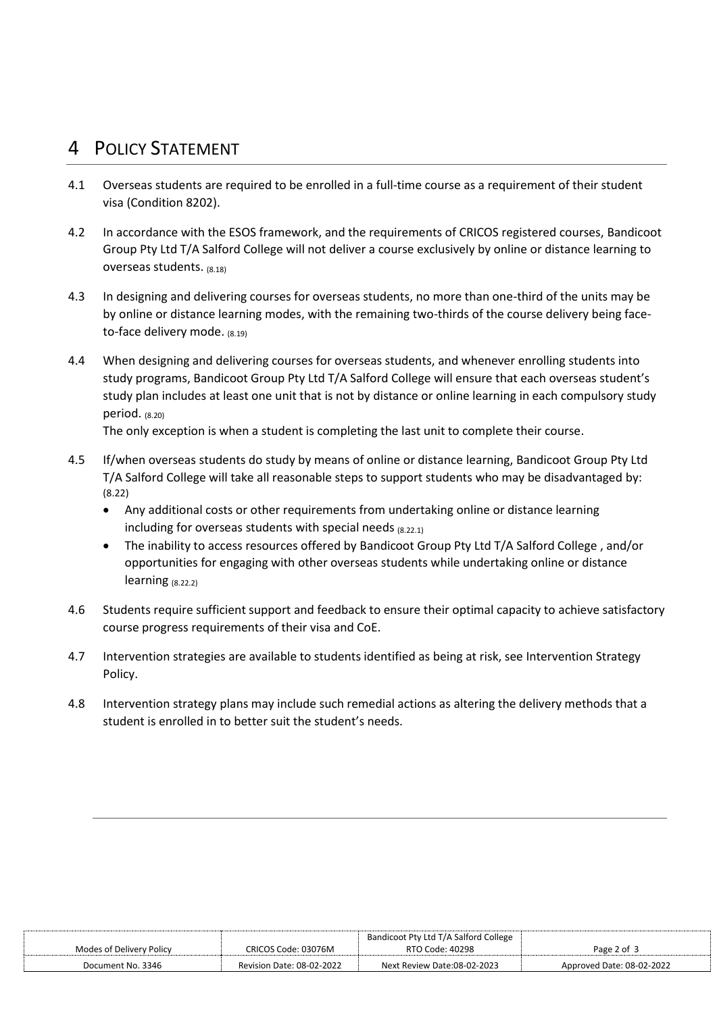### 4 POLICY STATEMENT

- 4.1 Overseas students are required to be enrolled in a full-time course as a requirement of their student visa (Condition 8202).
- 4.2 In accordance with the ESOS framework, and the requirements of CRICOS registered courses, Bandicoot Group Pty Ltd T/A Salford College will not deliver a course exclusively by online or distance learning to overseas students. (8.18)
- 4.3 In designing and delivering courses for overseas students, no more than one-third of the units may be by online or distance learning modes, with the remaining two-thirds of the course delivery being faceto-face delivery mode.  $(8.19)$
- 4.4 When designing and delivering courses for overseas students, and whenever enrolling students into study programs, Bandicoot Group Pty Ltd T/A Salford College will ensure that each overseas student's study plan includes at least one unit that is not by distance or online learning in each compulsory study period. (8.20)

The only exception is when a student is completing the last unit to complete their course.

- 4.5 If/when overseas students do study by means of online or distance learning, Bandicoot Group Pty Ltd T/A Salford College will take all reasonable steps to support students who may be disadvantaged by: (8.22)
	- Any additional costs or other requirements from undertaking online or distance learning including for overseas students with special needs (8.22.1)
	- The inability to access resources offered by Bandicoot Group Pty Ltd T/A Salford College , and/or opportunities for engaging with other overseas students while undertaking online or distance learning (8.22.2)
- 4.6 Students require sufficient support and feedback to ensure their optimal capacity to achieve satisfactory course progress requirements of their visa and CoE.
- 4.7 Intervention strategies are available to students identified as being at risk, see Intervention Strategy Policy.
- 4.8 Intervention strategy plans may include such remedial actions as altering the delivery methods that a student is enrolled in to better suit the student's needs.

|                          |                           | Bandicoot Pty Ltd T/A Salford College |                           |
|--------------------------|---------------------------|---------------------------------------|---------------------------|
| Modes of Delivery Policy | CRICOS Code: 03076M       | RTO Code: 40298                       | Page 2 of 3               |
| Document No. 3346        | Revision Date: 08-02-2022 | Next Review Date:08-02-2023           | Approved Date: 08-02-2022 |